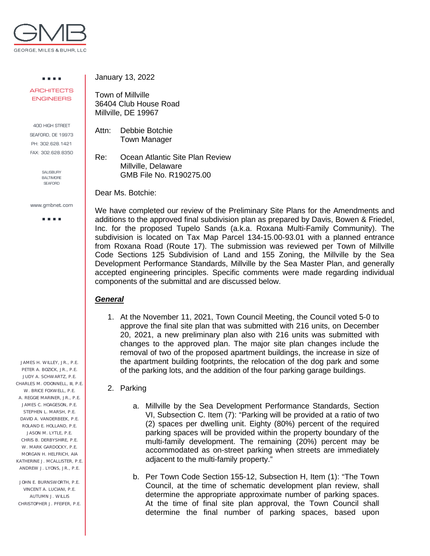

. . . . **ARCHITECTS** ENGINEERS

400 HIGH STREET SEAFORD, DE 19973 PH: 302.628.1421 FAX: 302.628.8350

> SALISBURY BALTIMORE **SEAFORD**

www.gmbnet.com

a a sua

 JAMES H. WILLEY, JR., P.E. PETER A. BOZICK, JR., P.E. JUDY A. SCHWARTZ, P.E. CHARLES M. O'DONNELL, III, P.E. W. BRICE FOXWELL, P.E. A. REGGIE MARINER, JR., P.E. JAMES C. HOAGESON, P.E. STEPHEN L. MARSH, P.E. DAVID A. VANDERBEEK, P.E. ROLAND E. HOLLAND, P.E. JASON M. LYTLE, P.E. CHRIS B. DERBYSHIRE, P.E. W. MARK GARDOCKY, P.E. MORGAN H. HELFRICH, AIA KATHERINE J. MCALLISTER, P.E. ANDREW J. LYONS, JR., P.E.

 JOHN E. BURNSWORTH, P.E. VINCENT A. LUCIANI, P.E. AUTUMN J. WILLIS CHRISTOPHER J. PFEIFER, P.E. January 13, 2022

Town of Millville 36404 Club House Road Millville, DE 19967

Attn: Debbie Botchie Town Manager

Re: Ocean Atlantic Site Plan Review Millville, Delaware GMB File No. R190275.00

Dear Ms. Botchie:

We have completed our review of the Preliminary Site Plans for the Amendments and additions to the approved final subdivision plan as prepared by Davis, Bowen & Friedel, Inc. for the proposed Tupelo Sands (a.k.a. Roxana Multi-Family Community). The subdivision is located on Tax Map Parcel 134-15.00-93.01 with a planned entrance from Roxana Road (Route 17). The submission was reviewed per Town of Millville Code Sections 125 Subdivision of Land and 155 Zoning, the Millville by the Sea Development Performance Standards, Millville by the Sea Master Plan, and generally accepted engineering principles. Specific comments were made regarding individual components of the submittal and are discussed below.

## *General*

1. At the November 11, 2021, Town Council Meeting, the Council voted 5-0 to approve the final site plan that was submitted with 216 units, on December 20, 2021, a new preliminary plan also with 216 units was submitted with changes to the approved plan. The major site plan changes include the removal of two of the proposed apartment buildings, the increase in size of the apartment building footprints, the relocation of the dog park and some of the parking lots, and the addition of the four parking garage buildings.

## 2. Parking

- a. Millville by the Sea Development Performance Standards, Section VI, Subsection C. Item (7): "Parking will be provided at a ratio of two (2) spaces per dwelling unit. Eighty (80%) percent of the required parking spaces will be provided within the property boundary of the multi-family development. The remaining (20%) percent may be accommodated as on-street parking when streets are immediately adjacent to the multi-family property."
- b. Per Town Code Section 155-12, Subsection H, Item (1): "The Town Council, at the time of schematic development plan review, shall determine the appropriate approximate number of parking spaces. At the time of final site plan approval, the Town Council shall determine the final number of parking spaces, based upon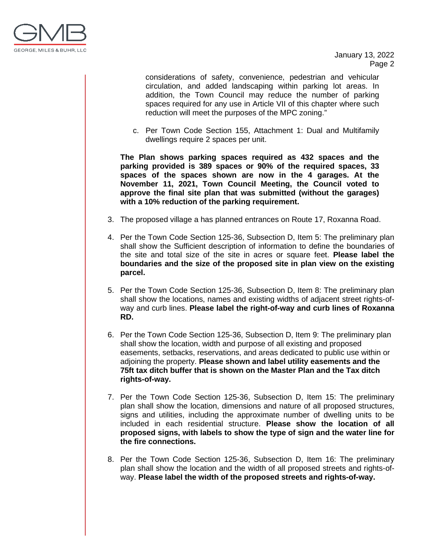

January 13, 2022 Page 2

considerations of safety, convenience, pedestrian and vehicular circulation, and added landscaping within parking lot areas. In addition, the Town Council may reduce the number of parking spaces required for any use in Article VII of this chapter where such reduction will meet the purposes of the MPC zoning."

c. Per Town Code Section 155, Attachment 1: Dual and Multifamily dwellings require 2 spaces per unit.

**The Plan shows parking spaces required as 432 spaces and the parking provided is 389 spaces or 90% of the required spaces, 33 spaces of the spaces shown are now in the 4 garages. At the November 11, 2021, Town Council Meeting, the Council voted to approve the final site plan that was submitted (without the garages) with a 10% reduction of the parking requirement.** 

- 3. The proposed village a has planned entrances on Route 17, Roxanna Road.
- 4. Per the Town Code Section 125-36, Subsection D, Item 5: The preliminary plan shall show the Sufficient description of information to define the boundaries of the site and total size of the site in acres or square feet. **Please label the boundaries and the size of the proposed site in plan view on the existing parcel.**
- 5. Per the Town Code Section 125-36, Subsection D, Item 8: The preliminary plan shall show the locations, names and existing widths of adjacent street rights-ofway and curb lines. **Please label the right-of-way and curb lines of Roxanna RD.**
- 6. Per the Town Code Section 125-36, Subsection D, Item 9: The preliminary plan shall show the location, width and purpose of all existing and proposed easements, setbacks, reservations, and areas dedicated to public use within or adjoining the property. **Please shown and label utility easements and the 75ft tax ditch buffer that is shown on the Master Plan and the Tax ditch rights-of-way.**
- 7. Per the Town Code Section 125-36, Subsection D, Item 15: The preliminary plan shall show the location, dimensions and nature of all proposed structures, signs and utilities, including the approximate number of dwelling units to be included in each residential structure. **Please show the location of all proposed signs, with labels to show the type of sign and the water line for the fire connections.**
- 8. Per the Town Code Section 125-36, Subsection D, Item 16: The preliminary plan shall show the location and the width of all proposed streets and rights-ofway. **Please label the width of the proposed streets and rights-of-way.**